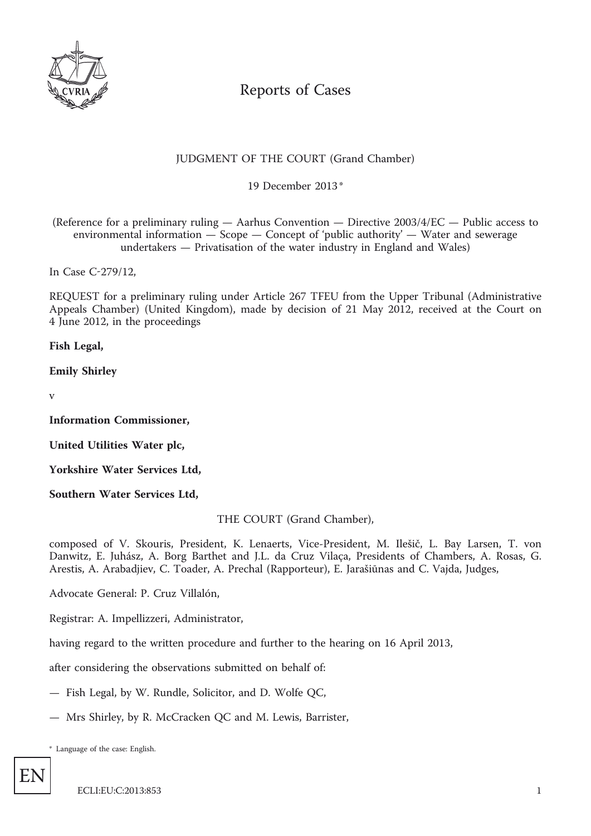

# Reports of Cases

# JUDGMENT OF THE COURT (Grand Chamber)

\* 19 December 2013

(Reference for a preliminary ruling — Aarhus Convention — Directive 2003/4/EC — Public access to environmental information — Scope — Concept of 'public authority' — Water and sewerage undertakers — Privatisation of the water industry in England and Wales)

In Case C-279/12,

REQUEST for a preliminary ruling under Article 267 TFEU from the Upper Tribunal (Administrative Appeals Chamber) (United Kingdom), made by decision of 21 May 2012, received at the Court on 4 June 2012, in the proceedings

**Fish Legal,**

**Emily Shirley**

v

**Information Commissioner,**

**United Utilities Water plc,**

**Yorkshire Water Services Ltd,**

**Southern Water Services Ltd,**

THE COURT (Grand Chamber),

composed of V. Skouris, President, K. Lenaerts, Vice-President, M. Ilešič, L. Bay Larsen, T. von Danwitz, E. Juhász, A. Borg Barthet and J.L. da Cruz Vilaça, Presidents of Chambers, A. Rosas, G. Arestis, A. Arabadjiev, C. Toader, A. Prechal (Rapporteur), E. Jarašiūnas and C. Vajda, Judges,

Advocate General: P. Cruz Villalón,

Registrar: A. Impellizzeri, Administrator,

having regard to the written procedure and further to the hearing on 16 April 2013,

after considering the observations submitted on behalf of:

- Fish Legal, by W. Rundle, Solicitor, and D. Wolfe QC,
- Mrs Shirley, by R. McCracken QC and M. Lewis, Barrister,

\* Language of the case: English.

EN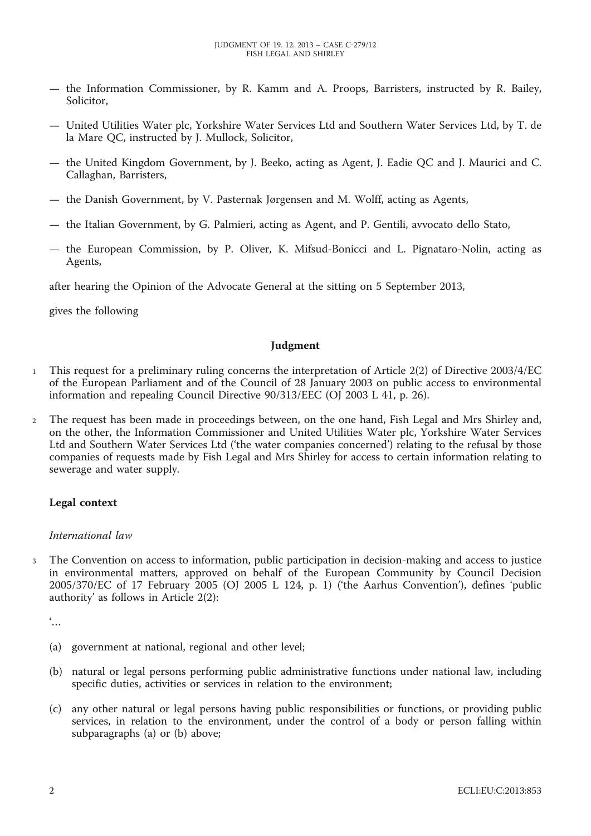- the Information Commissioner, by R. Kamm and A. Proops, Barristers, instructed by R. Bailey, Solicitor,
- United Utilities Water plc, Yorkshire Water Services Ltd and Southern Water Services Ltd, by T. de la Mare QC, instructed by J. Mullock, Solicitor,
- the United Kingdom Government, by J. Beeko, acting as Agent, J. Eadie QC and J. Maurici and C. Callaghan, Barristers,
- the Danish Government, by V. Pasternak Jørgensen and M. Wolff, acting as Agents,
- the Italian Government, by G. Palmieri, acting as Agent, and P. Gentili, avvocato dello Stato,
- the European Commission, by P. Oliver, K. Mifsud-Bonicci and L. Pignataro-Nolin, acting as Agents,

after hearing the Opinion of the Advocate General at the sitting on 5 September 2013,

gives the following

#### **Judgment**

- 1 This request for a preliminary ruling concerns the interpretation of Article 2(2) of Directive 2003/4/EC of the European Parliament and of the Council of 28 January 2003 on public access to environmental information and repealing Council Directive 90/313/EEC (OJ 2003 L 41, p. 26).
- 2 The request has been made in proceedings between, on the one hand, Fish Legal and Mrs Shirley and, on the other, the Information Commissioner and United Utilities Water plc, Yorkshire Water Services Ltd and Southern Water Services Ltd ('the water companies concerned') relating to the refusal by those companies of requests made by Fish Legal and Mrs Shirley for access to certain information relating to sewerage and water supply.

# **Legal context**

# *International law*

3 The Convention on access to information, public participation in decision-making and access to justice in environmental matters, approved on behalf of the European Community by Council Decision 2005/370/EC of 17 February 2005 (OJ 2005 L 124, p. 1) ('the Aarhus Convention'), defines 'public authority' as follows in Article 2(2):

'…

- (a) government at national, regional and other level;
- (b) natural or legal persons performing public administrative functions under national law, including specific duties, activities or services in relation to the environment;
- (c) any other natural or legal persons having public responsibilities or functions, or providing public services, in relation to the environment, under the control of a body or person falling within subparagraphs (a) or (b) above;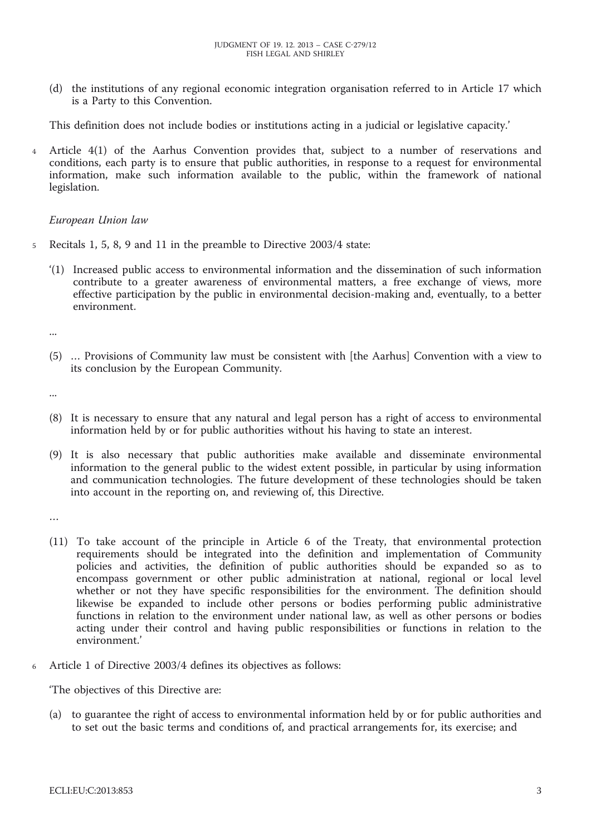(d) the institutions of any regional economic integration organisation referred to in Article 17 which is a Party to this Convention.

This definition does not include bodies or institutions acting in a judicial or legislative capacity.'

4 Article 4(1) of the Aarhus Convention provides that, subject to a number of reservations and conditions, each party is to ensure that public authorities, in response to a request for environmental information, make such information available to the public, within the framework of national legislation.

#### *European Union law*

- 5 Recitals 1, 5, 8, 9 and 11 in the preamble to Directive 2003/4 state:
	- '(1) Increased public access to environmental information and the dissemination of such information contribute to a greater awareness of environmental matters, a free exchange of views, more effective participation by the public in environmental decision-making and, eventually, to a better environment.

...

(5) … Provisions of Community law must be consistent with [the Aarhus] Convention with a view to its conclusion by the European Community.

...

- (8) It is necessary to ensure that any natural and legal person has a right of access to environmental information held by or for public authorities without his having to state an interest.
- (9) It is also necessary that public authorities make available and disseminate environmental information to the general public to the widest extent possible, in particular by using information and communication technologies. The future development of these technologies should be taken into account in the reporting on, and reviewing of, this Directive.

…

- (11) To take account of the principle in Article 6 of the Treaty, that environmental protection requirements should be integrated into the definition and implementation of Community policies and activities, the definition of public authorities should be expanded so as to encompass government or other public administration at national, regional or local level whether or not they have specific responsibilities for the environment. The definition should likewise be expanded to include other persons or bodies performing public administrative functions in relation to the environment under national law, as well as other persons or bodies acting under their control and having public responsibilities or functions in relation to the environment.'
- Article 1 of Directive 2003/4 defines its objectives as follows:

'The objectives of this Directive are:

(a) to guarantee the right of access to environmental information held by or for public authorities and to set out the basic terms and conditions of, and practical arrangements for, its exercise; and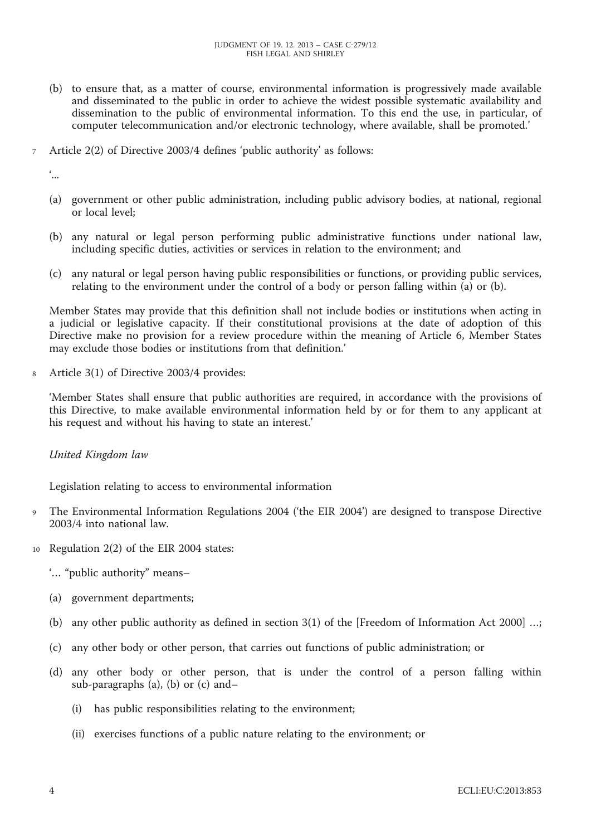- (b) to ensure that, as a matter of course, environmental information is progressively made available and disseminated to the public in order to achieve the widest possible systematic availability and dissemination to the public of environmental information. To this end the use, in particular, of computer telecommunication and/or electronic technology, where available, shall be promoted.'
- 7 Article 2(2) of Directive 2003/4 defines 'public authority' as follows:

'...

- (a) government or other public administration, including public advisory bodies, at national, regional or local level;
- (b) any natural or legal person performing public administrative functions under national law, including specific duties, activities or services in relation to the environment; and
- (c) any natural or legal person having public responsibilities or functions, or providing public services, relating to the environment under the control of a body or person falling within (a) or (b).

Member States may provide that this definition shall not include bodies or institutions when acting in a judicial or legislative capacity. If their constitutional provisions at the date of adoption of this Directive make no provision for a review procedure within the meaning of Article 6, Member States may exclude those bodies or institutions from that definition.'

8 Article 3(1) of Directive 2003/4 provides:

'Member States shall ensure that public authorities are required, in accordance with the provisions of this Directive, to make available environmental information held by or for them to any applicant at his request and without his having to state an interest.'

*United Kingdom law*

Legislation relating to access to environmental information

- The Environmental Information Regulations 2004 ('the EIR 2004') are designed to transpose Directive 2003/4 into national law.
- 10 Regulation 2(2) of the EIR 2004 states:
	- '… "public authority" means–
	- (a) government departments;
	- (b) any other public authority as defined in section 3(1) of the [Freedom of Information Act 2000] …;
	- (c) any other body or other person, that carries out functions of public administration; or
	- (d) any other body or other person, that is under the control of a person falling within sub-paragraphs (a), (b) or (c) and–
		- (i) has public responsibilities relating to the environment;
		- (ii) exercises functions of a public nature relating to the environment; or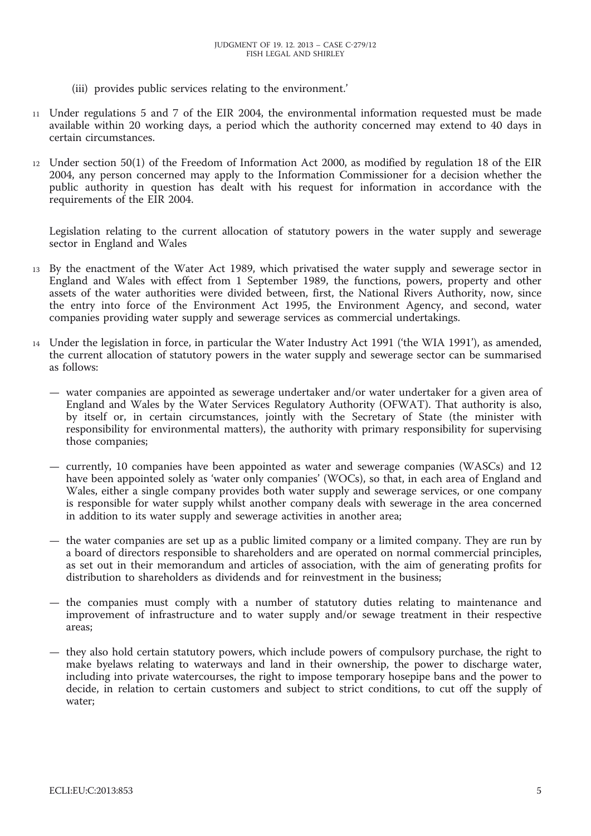- (iii) provides public services relating to the environment.'
- 11 Under regulations 5 and 7 of the EIR 2004, the environmental information requested must be made available within 20 working days, a period which the authority concerned may extend to 40 days in certain circumstances.
- 12 Under section 50(1) of the Freedom of Information Act 2000, as modified by regulation 18 of the EIR 2004, any person concerned may apply to the Information Commissioner for a decision whether the public authority in question has dealt with his request for information in accordance with the requirements of the EIR 2004.

Legislation relating to the current allocation of statutory powers in the water supply and sewerage sector in England and Wales

- 13 By the enactment of the Water Act 1989, which privatised the water supply and sewerage sector in England and Wales with effect from 1 September 1989, the functions, powers, property and other assets of the water authorities were divided between, first, the National Rivers Authority, now, since the entry into force of the Environment Act 1995, the Environment Agency, and second, water companies providing water supply and sewerage services as commercial undertakings.
- 14 Under the legislation in force, in particular the Water Industry Act 1991 ('the WIA 1991'), as amended, the current allocation of statutory powers in the water supply and sewerage sector can be summarised as follows:
	- water companies are appointed as sewerage undertaker and/or water undertaker for a given area of England and Wales by the Water Services Regulatory Authority (OFWAT). That authority is also, by itself or, in certain circumstances, jointly with the Secretary of State (the minister with responsibility for environmental matters), the authority with primary responsibility for supervising those companies;
	- currently, 10 companies have been appointed as water and sewerage companies (WASCs) and 12 have been appointed solely as 'water only companies' (WOCs), so that, in each area of England and Wales, either a single company provides both water supply and sewerage services, or one company is responsible for water supply whilst another company deals with sewerage in the area concerned in addition to its water supply and sewerage activities in another area;
	- the water companies are set up as a public limited company or a limited company. They are run by a board of directors responsible to shareholders and are operated on normal commercial principles, as set out in their memorandum and articles of association, with the aim of generating profits for distribution to shareholders as dividends and for reinvestment in the business;
	- the companies must comply with a number of statutory duties relating to maintenance and improvement of infrastructure and to water supply and/or sewage treatment in their respective areas;
	- they also hold certain statutory powers, which include powers of compulsory purchase, the right to make byelaws relating to waterways and land in their ownership, the power to discharge water, including into private watercourses, the right to impose temporary hosepipe bans and the power to decide, in relation to certain customers and subject to strict conditions, to cut off the supply of water;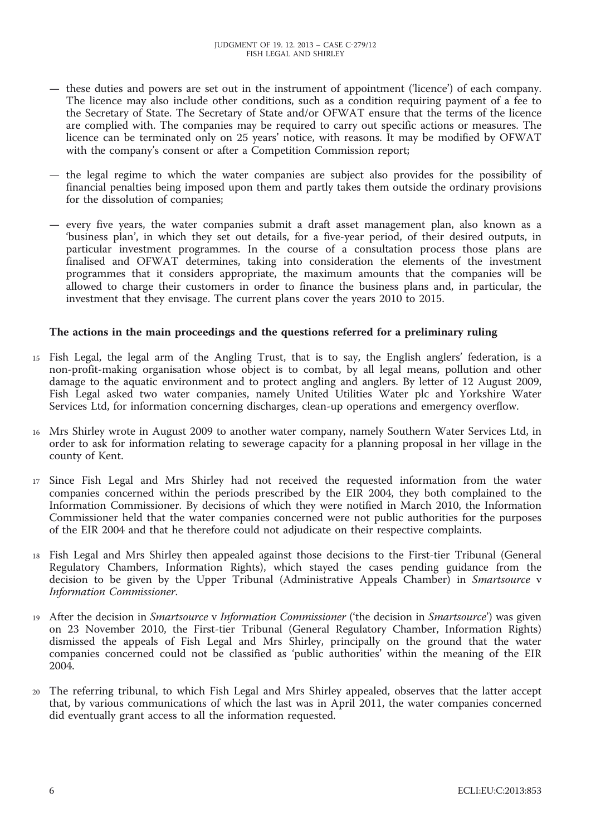- these duties and powers are set out in the instrument of appointment ('licence') of each company. The licence may also include other conditions, such as a condition requiring payment of a fee to the Secretary of State. The Secretary of State and/or OFWAT ensure that the terms of the licence are complied with. The companies may be required to carry out specific actions or measures. The licence can be terminated only on 25 years' notice, with reasons. It may be modified by OFWAT with the company's consent or after a Competition Commission report;
- the legal regime to which the water companies are subject also provides for the possibility of financial penalties being imposed upon them and partly takes them outside the ordinary provisions for the dissolution of companies;
- every five years, the water companies submit a draft asset management plan, also known as a 'business plan', in which they set out details, for a five-year period, of their desired outputs, in particular investment programmes. In the course of a consultation process those plans are finalised and OFWAT determines, taking into consideration the elements of the investment programmes that it considers appropriate, the maximum amounts that the companies will be allowed to charge their customers in order to finance the business plans and, in particular, the investment that they envisage. The current plans cover the years 2010 to 2015.

#### **The actions in the main proceedings and the questions referred for a preliminary ruling**

- 15 Fish Legal, the legal arm of the Angling Trust, that is to say, the English anglers' federation, is a non-profit-making organisation whose object is to combat, by all legal means, pollution and other damage to the aquatic environment and to protect angling and anglers. By letter of 12 August 2009, Fish Legal asked two water companies, namely United Utilities Water plc and Yorkshire Water Services Ltd, for information concerning discharges, clean-up operations and emergency overflow.
- 16 Mrs Shirley wrote in August 2009 to another water company, namely Southern Water Services Ltd, in order to ask for information relating to sewerage capacity for a planning proposal in her village in the county of Kent.
- 17 Since Fish Legal and Mrs Shirley had not received the requested information from the water companies concerned within the periods prescribed by the EIR 2004, they both complained to the Information Commissioner. By decisions of which they were notified in March 2010, the Information Commissioner held that the water companies concerned were not public authorities for the purposes of the EIR 2004 and that he therefore could not adjudicate on their respective complaints.
- 18 Fish Legal and Mrs Shirley then appealed against those decisions to the First-tier Tribunal (General Regulatory Chambers, Information Rights), which stayed the cases pending guidance from the decision to be given by the Upper Tribunal (Administrative Appeals Chamber) in *Smartsource* v *Information Commissioner*.
- 19 After the decision in *Smartsource* v *Information Commissioner* ('the decision in *Smartsource*') was given on 23 November 2010, the First-tier Tribunal (General Regulatory Chamber, Information Rights) dismissed the appeals of Fish Legal and Mrs Shirley, principally on the ground that the water companies concerned could not be classified as 'public authorities' within the meaning of the EIR 2004.
- 20 The referring tribunal, to which Fish Legal and Mrs Shirley appealed, observes that the latter accept that, by various communications of which the last was in April 2011, the water companies concerned did eventually grant access to all the information requested.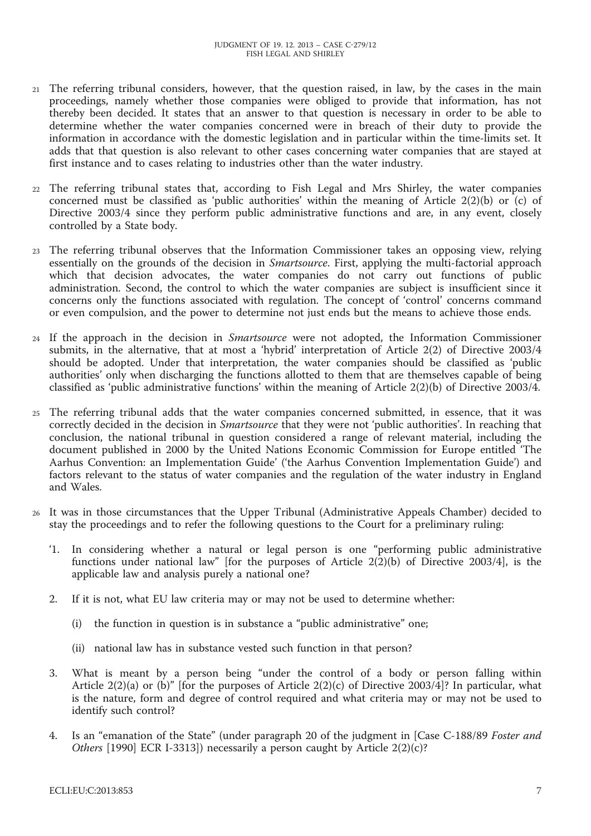- 21 The referring tribunal considers, however, that the question raised, in law, by the cases in the main proceedings, namely whether those companies were obliged to provide that information, has not thereby been decided. It states that an answer to that question is necessary in order to be able to determine whether the water companies concerned were in breach of their duty to provide the information in accordance with the domestic legislation and in particular within the time-limits set. It adds that that question is also relevant to other cases concerning water companies that are stayed at first instance and to cases relating to industries other than the water industry.
- 22 The referring tribunal states that, according to Fish Legal and Mrs Shirley, the water companies concerned must be classified as 'public authorities' within the meaning of Article 2(2)(b) or (c) of Directive 2003/4 since they perform public administrative functions and are, in any event, closely controlled by a State body.
- 23 The referring tribunal observes that the Information Commissioner takes an opposing view, relying essentially on the grounds of the decision in *Smartsource*. First, applying the multi-factorial approach which that decision advocates, the water companies do not carry out functions of public administration. Second, the control to which the water companies are subject is insufficient since it concerns only the functions associated with regulation. The concept of 'control' concerns command or even compulsion, and the power to determine not just ends but the means to achieve those ends.
- 24 If the approach in the decision in *Smartsource* were not adopted, the Information Commissioner submits, in the alternative, that at most a 'hybrid' interpretation of Article 2(2) of Directive 2003/4 should be adopted. Under that interpretation, the water companies should be classified as 'public authorities' only when discharging the functions allotted to them that are themselves capable of being classified as 'public administrative functions' within the meaning of Article 2(2)(b) of Directive 2003/4.
- 25 The referring tribunal adds that the water companies concerned submitted, in essence, that it was correctly decided in the decision in *Smartsource* that they were not 'public authorities'. In reaching that conclusion, the national tribunal in question considered a range of relevant material, including the document published in 2000 by the United Nations Economic Commission for Europe entitled 'The Aarhus Convention: an Implementation Guide' ('the Aarhus Convention Implementation Guide') and factors relevant to the status of water companies and the regulation of the water industry in England and Wales.
- 26 It was in those circumstances that the Upper Tribunal (Administrative Appeals Chamber) decided to stay the proceedings and to refer the following questions to the Court for a preliminary ruling:
	- '1. In considering whether a natural or legal person is one "performing public administrative functions under national law" [for the purposes of Article  $2(2)(b)$  of Directive 2003/4], is the applicable law and analysis purely a national one?
	- 2. If it is not, what EU law criteria may or may not be used to determine whether:
		- (i) the function in question is in substance a "public administrative" one;
		- (ii) national law has in substance vested such function in that person?
	- 3. What is meant by a person being "under the control of a body or person falling within Article 2(2)(a) or (b)" [for the purposes of Article 2(2)(c) of Directive 2003/4]? In particular, what is the nature, form and degree of control required and what criteria may or may not be used to identify such control?
	- 4. Is an "emanation of the State" (under paragraph 20 of the judgment in [Case C-188/89 *Foster and Others* [1990] ECR I-3313]) necessarily a person caught by Article 2(2)(c)?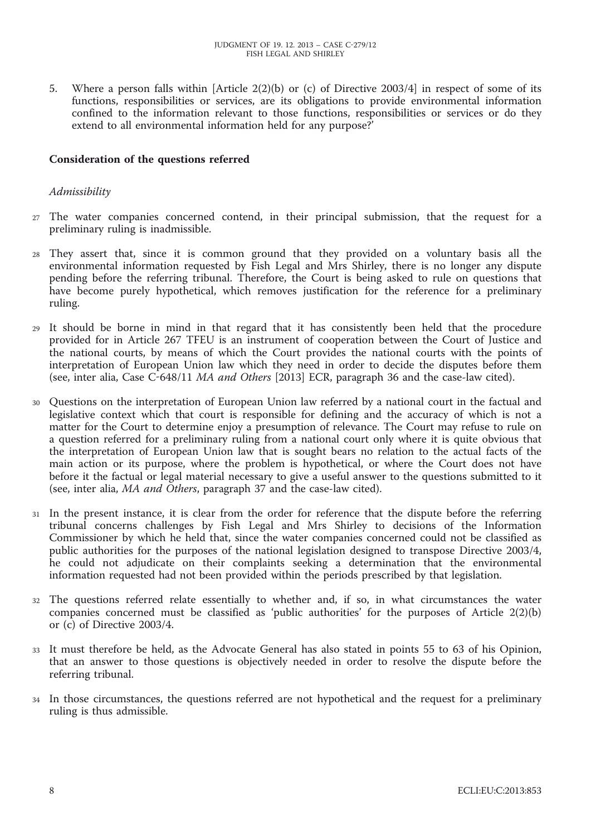5. Where a person falls within [Article 2(2)(b) or (c) of Directive 2003/4] in respect of some of its functions, responsibilities or services, are its obligations to provide environmental information confined to the information relevant to those functions, responsibilities or services or do they extend to all environmental information held for any purpose?'

#### **Consideration of the questions referred**

#### *Admissibility*

- 27 The water companies concerned contend, in their principal submission, that the request for a preliminary ruling is inadmissible.
- 28 They assert that, since it is common ground that they provided on a voluntary basis all the environmental information requested by Fish Legal and Mrs Shirley, there is no longer any dispute pending before the referring tribunal. Therefore, the Court is being asked to rule on questions that have become purely hypothetical, which removes justification for the reference for a preliminary ruling.
- 29 It should be borne in mind in that regard that it has consistently been held that the procedure provided for in Article 267 TFEU is an instrument of cooperation between the Court of Justice and the national courts, by means of which the Court provides the national courts with the points of interpretation of European Union law which they need in order to decide the disputes before them (see, inter alia, Case C-648/11 *MA and Others* [2013] ECR, paragraph 36 and the case-law cited).
- 30 Questions on the interpretation of European Union law referred by a national court in the factual and legislative context which that court is responsible for defining and the accuracy of which is not a matter for the Court to determine enjoy a presumption of relevance. The Court may refuse to rule on a question referred for a preliminary ruling from a national court only where it is quite obvious that the interpretation of European Union law that is sought bears no relation to the actual facts of the main action or its purpose, where the problem is hypothetical, or where the Court does not have before it the factual or legal material necessary to give a useful answer to the questions submitted to it (see, inter alia, *MA and Others*, paragraph 37 and the case-law cited).
- 31 In the present instance, it is clear from the order for reference that the dispute before the referring tribunal concerns challenges by Fish Legal and Mrs Shirley to decisions of the Information Commissioner by which he held that, since the water companies concerned could not be classified as public authorities for the purposes of the national legislation designed to transpose Directive 2003/4, he could not adjudicate on their complaints seeking a determination that the environmental information requested had not been provided within the periods prescribed by that legislation.
- 32 The questions referred relate essentially to whether and, if so, in what circumstances the water companies concerned must be classified as 'public authorities' for the purposes of Article 2(2)(b) or (c) of Directive 2003/4.
- 33 It must therefore be held, as the Advocate General has also stated in points 55 to 63 of his Opinion, that an answer to those questions is objectively needed in order to resolve the dispute before the referring tribunal.
- 34 In those circumstances, the questions referred are not hypothetical and the request for a preliminary ruling is thus admissible.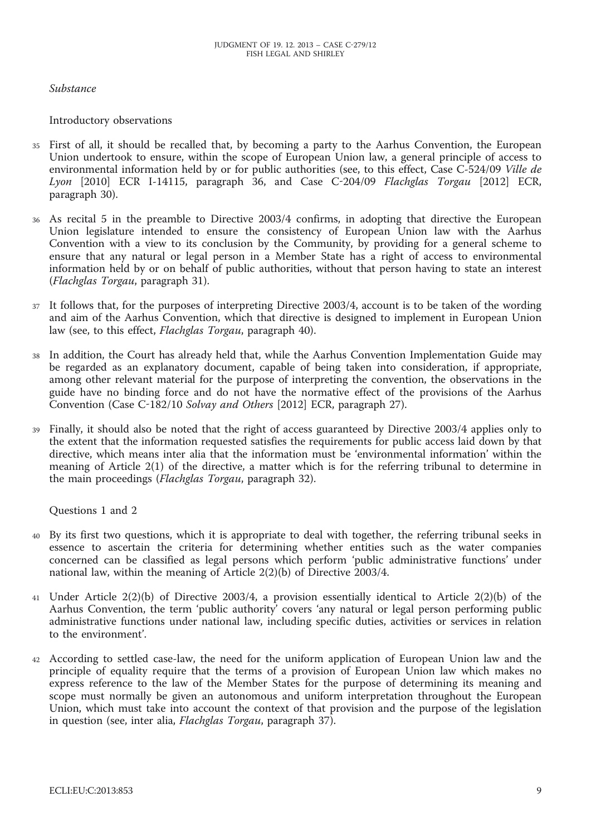# *Substance*

#### Introductory observations

- 35 First of all, it should be recalled that, by becoming a party to the Aarhus Convention, the European Union undertook to ensure, within the scope of European Union law, a general principle of access to environmental information held by or for public authorities (see, to this effect, Case C-524/09 *Ville de Lyon* [2010] ECR I-14115, paragraph 36, and Case C-204/09 *Flachglas Torgau* [2012] ECR, paragraph 30).
- 36 As recital 5 in the preamble to Directive 2003/4 confirms, in adopting that directive the European Union legislature intended to ensure the consistency of European Union law with the Aarhus Convention with a view to its conclusion by the Community, by providing for a general scheme to ensure that any natural or legal person in a Member State has a right of access to environmental information held by or on behalf of public authorities, without that person having to state an interest (*Flachglas Torgau*, paragraph 31).
- 37 It follows that, for the purposes of interpreting Directive 2003/4, account is to be taken of the wording and aim of the Aarhus Convention, which that directive is designed to implement in European Union law (see, to this effect, *Flachglas Torgau*, paragraph 40).
- 38 In addition, the Court has already held that, while the Aarhus Convention Implementation Guide may be regarded as an explanatory document, capable of being taken into consideration, if appropriate, among other relevant material for the purpose of interpreting the convention, the observations in the guide have no binding force and do not have the normative effect of the provisions of the Aarhus Convention (Case C-182/10 *Solvay and Others* [2012] ECR, paragraph 27).
- 39 Finally, it should also be noted that the right of access guaranteed by Directive 2003/4 applies only to the extent that the information requested satisfies the requirements for public access laid down by that directive, which means inter alia that the information must be 'environmental information' within the meaning of Article 2(1) of the directive, a matter which is for the referring tribunal to determine in the main proceedings (*Flachglas Torgau*, paragraph 32).

Questions 1 and 2

- 40 By its first two questions, which it is appropriate to deal with together, the referring tribunal seeks in essence to ascertain the criteria for determining whether entities such as the water companies concerned can be classified as legal persons which perform 'public administrative functions' under national law, within the meaning of Article 2(2)(b) of Directive 2003/4.
- 41 Under Article 2(2)(b) of Directive 2003/4, a provision essentially identical to Article 2(2)(b) of the Aarhus Convention, the term 'public authority' covers 'any natural or legal person performing public administrative functions under national law, including specific duties, activities or services in relation to the environment'.
- 42 According to settled case-law, the need for the uniform application of European Union law and the principle of equality require that the terms of a provision of European Union law which makes no express reference to the law of the Member States for the purpose of determining its meaning and scope must normally be given an autonomous and uniform interpretation throughout the European Union, which must take into account the context of that provision and the purpose of the legislation in question (see, inter alia, *Flachglas Torgau*, paragraph 37).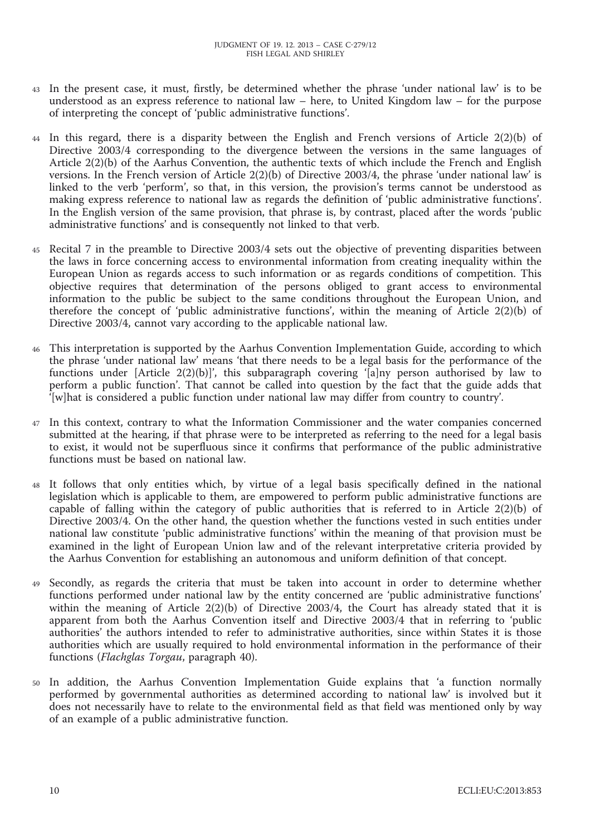- 43 In the present case, it must, firstly, be determined whether the phrase 'under national law' is to be understood as an express reference to national law – here, to United Kingdom law – for the purpose of interpreting the concept of 'public administrative functions'.
- 44 In this regard, there is a disparity between the English and French versions of Article 2(2)(b) of Directive 2003/4 corresponding to the divergence between the versions in the same languages of Article 2(2)(b) of the Aarhus Convention, the authentic texts of which include the French and English versions. In the French version of Article 2(2)(b) of Directive 2003/4, the phrase 'under national law' is linked to the verb 'perform', so that, in this version, the provision's terms cannot be understood as making express reference to national law as regards the definition of 'public administrative functions'. In the English version of the same provision, that phrase is, by contrast, placed after the words 'public administrative functions' and is consequently not linked to that verb.
- 45 Recital 7 in the preamble to Directive 2003/4 sets out the objective of preventing disparities between the laws in force concerning access to environmental information from creating inequality within the European Union as regards access to such information or as regards conditions of competition. This objective requires that determination of the persons obliged to grant access to environmental information to the public be subject to the same conditions throughout the European Union, and therefore the concept of 'public administrative functions', within the meaning of Article 2(2)(b) of Directive 2003/4, cannot vary according to the applicable national law.
- 46 This interpretation is supported by the Aarhus Convention Implementation Guide, according to which the phrase 'under national law' means 'that there needs to be a legal basis for the performance of the functions under [Article 2(2)(b)]', this subparagraph covering '[a]ny person authorised by law to perform a public function'. That cannot be called into question by the fact that the guide adds that '[w]hat is considered a public function under national law may differ from country to country'.
- 47 In this context, contrary to what the Information Commissioner and the water companies concerned submitted at the hearing, if that phrase were to be interpreted as referring to the need for a legal basis to exist, it would not be superfluous since it confirms that performance of the public administrative functions must be based on national law.
- 48 It follows that only entities which, by virtue of a legal basis specifically defined in the national legislation which is applicable to them, are empowered to perform public administrative functions are capable of falling within the category of public authorities that is referred to in Article 2(2)(b) of Directive 2003/4. On the other hand, the question whether the functions vested in such entities under national law constitute 'public administrative functions' within the meaning of that provision must be examined in the light of European Union law and of the relevant interpretative criteria provided by the Aarhus Convention for establishing an autonomous and uniform definition of that concept.
- 49 Secondly, as regards the criteria that must be taken into account in order to determine whether functions performed under national law by the entity concerned are 'public administrative functions' within the meaning of Article 2(2)(b) of Directive 2003/4, the Court has already stated that it is apparent from both the Aarhus Convention itself and Directive 2003/4 that in referring to 'public authorities' the authors intended to refer to administrative authorities, since within States it is those authorities which are usually required to hold environmental information in the performance of their functions (*Flachglas Torgau*, paragraph 40).
- In addition, the Aarhus Convention Implementation Guide explains that 'a function normally performed by governmental authorities as determined according to national law' is involved but it does not necessarily have to relate to the environmental field as that field was mentioned only by way of an example of a public administrative function.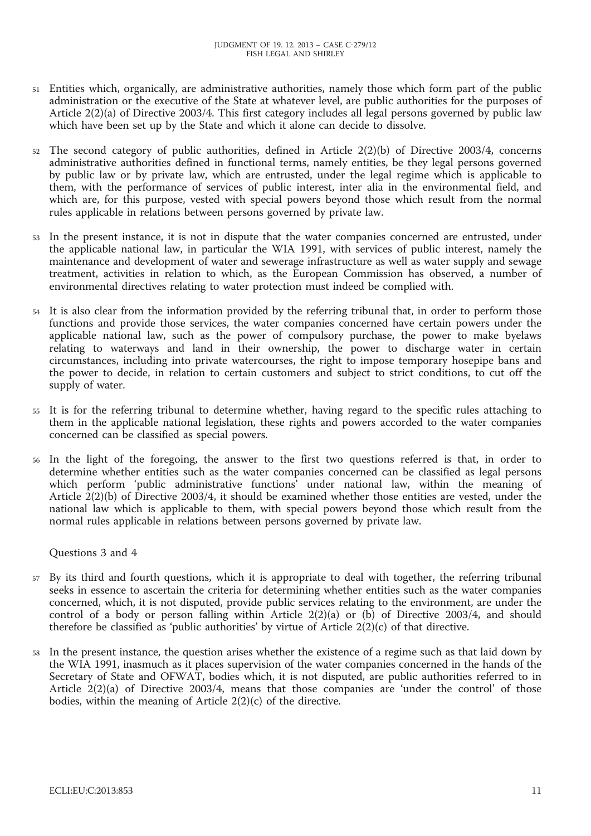- 51 Entities which, organically, are administrative authorities, namely those which form part of the public administration or the executive of the State at whatever level, are public authorities for the purposes of Article 2(2)(a) of Directive 2003/4. This first category includes all legal persons governed by public law which have been set up by the State and which it alone can decide to dissolve.
- 52 The second category of public authorities, defined in Article 2(2)(b) of Directive 2003/4, concerns administrative authorities defined in functional terms, namely entities, be they legal persons governed by public law or by private law, which are entrusted, under the legal regime which is applicable to them, with the performance of services of public interest, inter alia in the environmental field, and which are, for this purpose, vested with special powers beyond those which result from the normal rules applicable in relations between persons governed by private law.
- 53 In the present instance, it is not in dispute that the water companies concerned are entrusted, under the applicable national law, in particular the WIA 1991, with services of public interest, namely the maintenance and development of water and sewerage infrastructure as well as water supply and sewage treatment, activities in relation to which, as the European Commission has observed, a number of environmental directives relating to water protection must indeed be complied with.
- 54 It is also clear from the information provided by the referring tribunal that, in order to perform those functions and provide those services, the water companies concerned have certain powers under the applicable national law, such as the power of compulsory purchase, the power to make byelaws relating to waterways and land in their ownership, the power to discharge water in certain circumstances, including into private watercourses, the right to impose temporary hosepipe bans and the power to decide, in relation to certain customers and subject to strict conditions, to cut off the supply of water.
- 55 It is for the referring tribunal to determine whether, having regard to the specific rules attaching to them in the applicable national legislation, these rights and powers accorded to the water companies concerned can be classified as special powers.
- In the light of the foregoing, the answer to the first two questions referred is that, in order to determine whether entities such as the water companies concerned can be classified as legal persons which perform 'public administrative functions' under national law, within the meaning of Article 2(2)(b) of Directive 2003/4, it should be examined whether those entities are vested, under the national law which is applicable to them, with special powers beyond those which result from the normal rules applicable in relations between persons governed by private law.

Questions 3 and 4

- 57 By its third and fourth questions, which it is appropriate to deal with together, the referring tribunal seeks in essence to ascertain the criteria for determining whether entities such as the water companies concerned, which, it is not disputed, provide public services relating to the environment, are under the control of a body or person falling within Article  $2(2)(a)$  or (b) of Directive 2003/4, and should therefore be classified as 'public authorities' by virtue of Article  $2(2)(c)$  of that directive.
- 58 In the present instance, the question arises whether the existence of a regime such as that laid down by the WIA 1991, inasmuch as it places supervision of the water companies concerned in the hands of the Secretary of State and OFWAT, bodies which, it is not disputed, are public authorities referred to in Article 2(2)(a) of Directive 2003/4, means that those companies are 'under the control' of those bodies, within the meaning of Article 2(2)(c) of the directive.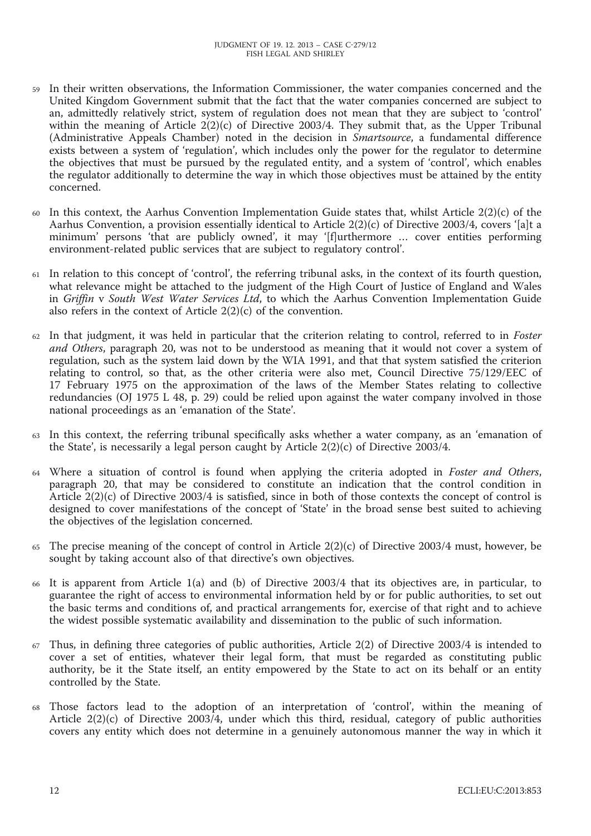- 59 In their written observations, the Information Commissioner, the water companies concerned and the United Kingdom Government submit that the fact that the water companies concerned are subject to an, admittedly relatively strict, system of regulation does not mean that they are subject to 'control' within the meaning of Article 2(2)(c) of Directive 2003/4. They submit that, as the Upper Tribunal (Administrative Appeals Chamber) noted in the decision in *Smartsource*, a fundamental difference exists between a system of 'regulation', which includes only the power for the regulator to determine the objectives that must be pursued by the regulated entity, and a system of 'control', which enables the regulator additionally to determine the way in which those objectives must be attained by the entity concerned.
- 60 In this context, the Aarhus Convention Implementation Guide states that, whilst Article  $2(2)(c)$  of the Aarhus Convention, a provision essentially identical to Article 2(2)(c) of Directive 2003/4, covers '[a]t a minimum' persons 'that are publicly owned', it may '[f]urthermore … cover entities performing environment-related public services that are subject to regulatory control'.
- 61 In relation to this concept of 'control', the referring tribunal asks, in the context of its fourth question, what relevance might be attached to the judgment of the High Court of Justice of England and Wales in *Griffin* v *South West Water Services Ltd*, to which the Aarhus Convention Implementation Guide also refers in the context of Article 2(2)(c) of the convention.
- 62 In that judgment, it was held in particular that the criterion relating to control, referred to in *Foster and Others*, paragraph 20, was not to be understood as meaning that it would not cover a system of regulation, such as the system laid down by the WIA 1991, and that that system satisfied the criterion relating to control, so that, as the other criteria were also met, Council Directive 75/129/EEC of 17 February 1975 on the approximation of the laws of the Member States relating to collective redundancies (OJ 1975 L 48, p. 29) could be relied upon against the water company involved in those national proceedings as an 'emanation of the State'.
- 63 In this context, the referring tribunal specifically asks whether a water company, as an 'emanation of the State', is necessarily a legal person caught by Article 2(2)(c) of Directive 2003/4.
- 64 Where a situation of control is found when applying the criteria adopted in *Foster and Others*, paragraph 20, that may be considered to constitute an indication that the control condition in Article 2(2)(c) of Directive 2003/4 is satisfied, since in both of those contexts the concept of control is designed to cover manifestations of the concept of 'State' in the broad sense best suited to achieving the objectives of the legislation concerned.
- 65 The precise meaning of the concept of control in Article  $2(2)(c)$  of Directive 2003/4 must, however, be sought by taking account also of that directive's own objectives.
- 66 It is apparent from Article 1(a) and (b) of Directive 2003/4 that its objectives are, in particular, to guarantee the right of access to environmental information held by or for public authorities, to set out the basic terms and conditions of, and practical arrangements for, exercise of that right and to achieve the widest possible systematic availability and dissemination to the public of such information.
- 67 Thus, in defining three categories of public authorities, Article 2(2) of Directive 2003/4 is intended to cover a set of entities, whatever their legal form, that must be regarded as constituting public authority, be it the State itself, an entity empowered by the State to act on its behalf or an entity controlled by the State.
- 68 Those factors lead to the adoption of an interpretation of 'control', within the meaning of Article 2(2)(c) of Directive 2003/4, under which this third, residual, category of public authorities covers any entity which does not determine in a genuinely autonomous manner the way in which it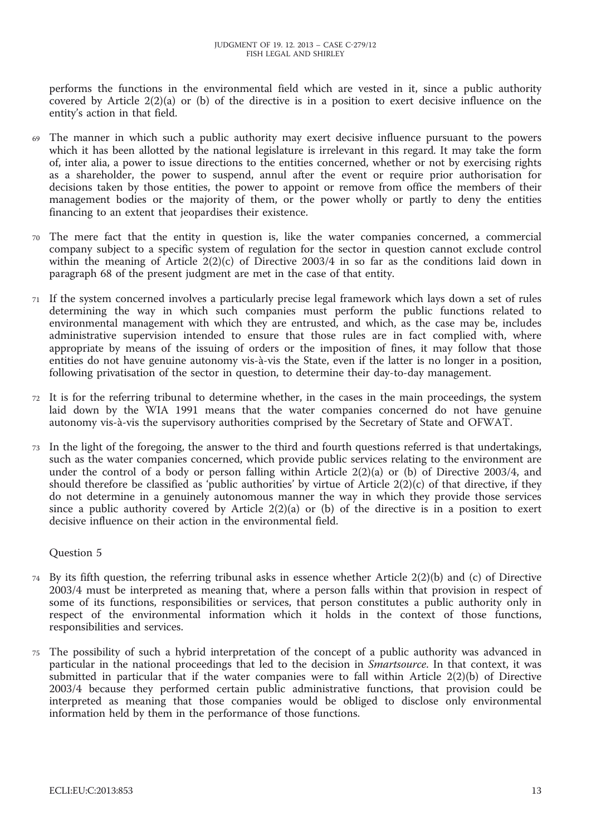performs the functions in the environmental field which are vested in it, since a public authority covered by Article 2(2)(a) or (b) of the directive is in a position to exert decisive influence on the entity's action in that field.

- 69 The manner in which such a public authority may exert decisive influence pursuant to the powers which it has been allotted by the national legislature is irrelevant in this regard. It may take the form of, inter alia, a power to issue directions to the entities concerned, whether or not by exercising rights as a shareholder, the power to suspend, annul after the event or require prior authorisation for decisions taken by those entities, the power to appoint or remove from office the members of their management bodies or the majority of them, or the power wholly or partly to deny the entities financing to an extent that jeopardises their existence.
- 70 The mere fact that the entity in question is, like the water companies concerned, a commercial company subject to a specific system of regulation for the sector in question cannot exclude control within the meaning of Article 2(2)(c) of Directive 2003/4 in so far as the conditions laid down in paragraph 68 of the present judgment are met in the case of that entity.
- 71 If the system concerned involves a particularly precise legal framework which lays down a set of rules determining the way in which such companies must perform the public functions related to environmental management with which they are entrusted, and which, as the case may be, includes administrative supervision intended to ensure that those rules are in fact complied with, where appropriate by means of the issuing of orders or the imposition of fines, it may follow that those entities do not have genuine autonomy vis-à-vis the State, even if the latter is no longer in a position, following privatisation of the sector in question, to determine their day-to-day management.
- 72 It is for the referring tribunal to determine whether, in the cases in the main proceedings, the system laid down by the WIA 1991 means that the water companies concerned do not have genuine autonomy vis-à-vis the supervisory authorities comprised by the Secretary of State and OFWAT.
- 73 In the light of the foregoing, the answer to the third and fourth questions referred is that undertakings, such as the water companies concerned, which provide public services relating to the environment are under the control of a body or person falling within Article 2(2)(a) or (b) of Directive 2003/4, and should therefore be classified as 'public authorities' by virtue of Article  $2(2)(c)$  of that directive, if they do not determine in a genuinely autonomous manner the way in which they provide those services since a public authority covered by Article 2(2)(a) or (b) of the directive is in a position to exert decisive influence on their action in the environmental field.

Question 5

- 74 By its fifth question, the referring tribunal asks in essence whether Article 2(2)(b) and (c) of Directive 2003/4 must be interpreted as meaning that, where a person falls within that provision in respect of some of its functions, responsibilities or services, that person constitutes a public authority only in respect of the environmental information which it holds in the context of those functions, responsibilities and services.
- 75 The possibility of such a hybrid interpretation of the concept of a public authority was advanced in particular in the national proceedings that led to the decision in *Smartsource*. In that context, it was submitted in particular that if the water companies were to fall within Article  $2(2)(b)$  of Directive 2003/4 because they performed certain public administrative functions, that provision could be interpreted as meaning that those companies would be obliged to disclose only environmental information held by them in the performance of those functions.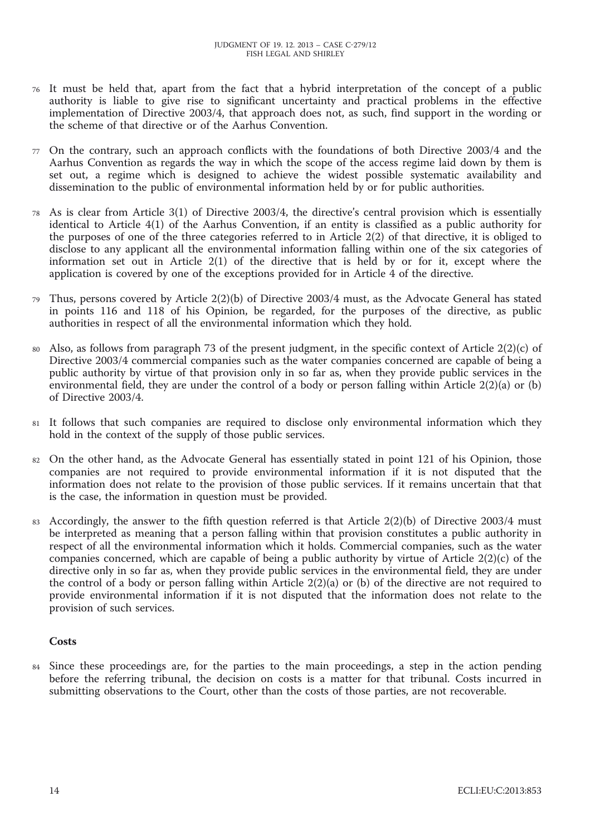- 76 It must be held that, apart from the fact that a hybrid interpretation of the concept of a public authority is liable to give rise to significant uncertainty and practical problems in the effective implementation of Directive 2003/4, that approach does not, as such, find support in the wording or the scheme of that directive or of the Aarhus Convention.
- 77 On the contrary, such an approach conflicts with the foundations of both Directive 2003/4 and the Aarhus Convention as regards the way in which the scope of the access regime laid down by them is set out, a regime which is designed to achieve the widest possible systematic availability and dissemination to the public of environmental information held by or for public authorities.
- 78 As is clear from Article 3(1) of Directive 2003/4, the directive's central provision which is essentially identical to Article 4(1) of the Aarhus Convention, if an entity is classified as a public authority for the purposes of one of the three categories referred to in Article 2(2) of that directive, it is obliged to disclose to any applicant all the environmental information falling within one of the six categories of information set out in Article 2(1) of the directive that is held by or for it, except where the application is covered by one of the exceptions provided for in Article 4 of the directive.
- 79 Thus, persons covered by Article 2(2)(b) of Directive 2003/4 must, as the Advocate General has stated in points 116 and 118 of his Opinion, be regarded, for the purposes of the directive, as public authorities in respect of all the environmental information which they hold.
- Also, as follows from paragraph 73 of the present judgment, in the specific context of Article  $2(2)(c)$  of Directive 2003/4 commercial companies such as the water companies concerned are capable of being a public authority by virtue of that provision only in so far as, when they provide public services in the environmental field, they are under the control of a body or person falling within Article 2(2)(a) or (b) of Directive 2003/4.
- 81 It follows that such companies are required to disclose only environmental information which they hold in the context of the supply of those public services.
- 82 On the other hand, as the Advocate General has essentially stated in point 121 of his Opinion, those companies are not required to provide environmental information if it is not disputed that the information does not relate to the provision of those public services. If it remains uncertain that that is the case, the information in question must be provided.
- 83 Accordingly, the answer to the fifth question referred is that Article 2(2)(b) of Directive 2003/4 must be interpreted as meaning that a person falling within that provision constitutes a public authority in respect of all the environmental information which it holds. Commercial companies, such as the water companies concerned, which are capable of being a public authority by virtue of Article 2(2)(c) of the directive only in so far as, when they provide public services in the environmental field, they are under the control of a body or person falling within Article 2(2)(a) or (b) of the directive are not required to provide environmental information if it is not disputed that the information does not relate to the provision of such services.

# **Costs**

84 Since these proceedings are, for the parties to the main proceedings, a step in the action pending before the referring tribunal, the decision on costs is a matter for that tribunal. Costs incurred in submitting observations to the Court, other than the costs of those parties, are not recoverable.